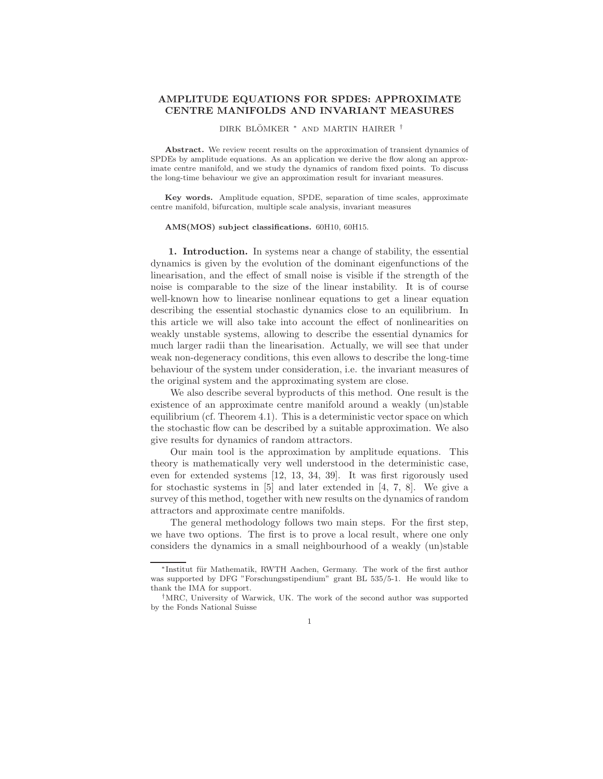## **AMPLITUDE EQUATIONS FOR SPDES: APPROXIMATE CENTRE MANIFOLDS AND INVARIANT MEASURES**

DIRK BLÖMKER  $^*$  and martin HAIRER  $^\dagger$ 

**Abstract.** We review recent results on the approximation of transient dynamics of SPDEs by amplitude equations. As an application we derive the flow along an approximate centre manifold, and we study the dynamics of random fixed points. To discuss the long-time behaviour we give an approximation result for invariant measures.

**Key words.** Amplitude equation, SPDE, separation of time scales, approximate centre manifold, bifurcation, multiple scale analysis, invariant measures

## **AMS(MOS) subject classifications.** 60H10, 60H15.

**1. Introduction.** In systems near a change of stability, the essential dynamics is given by the evolution of the dominant eigenfunctions of the linearisation, and the effect of small noise is visible if the strength of the noise is comparable to the size of the linear instability. It is of course well-known how to linearise nonlinear equations to get a linear equation describing the essential stochastic dynamics close to an equilibrium. In this article we will also take into account the effect of nonlinearities on weakly unstable systems, allowing to describe the essential dynamics for much larger radii than the linearisation. Actually, we will see that under weak non-degeneracy conditions, this even allows to describe the long-time behaviour of the system under consideration, i.e. the invariant measures of the original system and the approximating system are close.

We also describe several byproducts of this method. One result is the existence of an approximate centre manifold around a weakly (un)stable equilibrium (cf. Theorem 4.1). This is a deterministic vector space on which the stochastic flow can be described by a suitable approximation. We also give results for dynamics of random attractors.

Our main tool is the approximation by amplitude equations. This theory is mathematically very well understood in the deterministic case, even for extended systems [12, 13, 34, 39]. It was first rigorously used for stochastic systems in [5] and later extended in [4, 7, 8]. We give a survey of this method, together with new results on the dynamics of random attractors and approximate centre manifolds.

The general methodology follows two main steps. For the first step, we have two options. The first is to prove a local result, where one only considers the dynamics in a small neighbourhood of a weakly (un)stable

1

<sup>∗</sup>Institut f¨ur Mathematik, RWTH Aachen, Germany. The work of the first author was supported by DFG "Forschungsstipendium" grant BL 535/5-1. He would like to thank the IMA for support.

<sup>†</sup>MRC, University of Warwick, UK. The work of the second author was supported by the Fonds National Suisse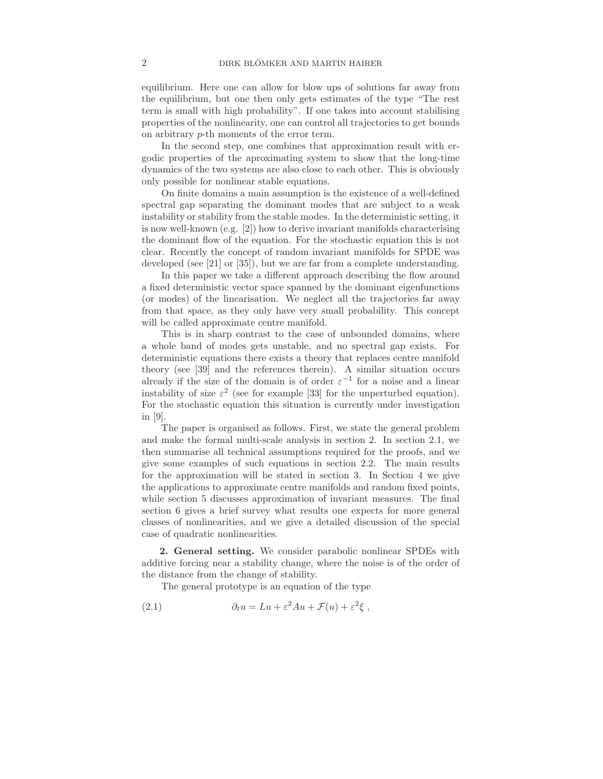equilibrium. Here one can allow for blow ups of solutions far away from the equilibrium, but one then only gets estimates of the type "The rest term is small with high probability". If one takes into account stabilising properties of the nonlinearity, one can control all trajectories to get bounds on arbitrary p-th moments of the error term.

In the second step, one combines that approximation result with ergodic properties of the aproximating system to show that the long-time dynamics of the two systems are also close to each other. This is obviously only possible for nonlinear stable equations.

On finite domains a main assumption is the existence of a well-defined spectral gap separating the dominant modes that are subject to a weak instability or stability from the stable modes. In the deterministic setting, it is now well-known (e.g.  $[2]$ ) how to derive invariant manifolds characterising the dominant flow of the equation. For the stochastic equation this is not clear. Recently the concept of random invariant manifolds for SPDE was developed (see [21] or [35]), but we are far from a complete understanding.

In this paper we take a different approach describing the flow around a fixed deterministic vector space spanned by the dominant eigenfunctions (or modes) of the linearisation. We neglect all the trajectories far away from that space, as they only have very small probability. This concept will be called approximate centre manifold.

This is in sharp contrast to the case of unbounded domains, where a whole band of modes gets unstable, and no spectral gap exists. For deterministic equations there exists a theory that replaces centre manifold theory (see [39] and the references therein). A similar situation occurs already if the size of the domain is of order  $\varepsilon^{-1}$  for a noise and a linear instability of size  $\varepsilon^2$  (see for example [33] for the unperturbed equation). For the stochastic equation this situation is currently under investigation in [9].

The paper is organised as follows. First, we state the general problem and make the formal multi-scale analysis in section 2. In section 2.1, we then summarise all technical assumptions required for the proofs, and we give some examples of such equations in section 2.2. The main results for the approximation will be stated in section 3. In Section 4 we give the applications to approximate centre manifolds and random fixed points, while section 5 discusses approximation of invariant measures. The final section 6 gives a brief survey what results one expects for more general classes of nonlinearities, and we give a detailed discussion of the special case of quadratic nonlinearities.

**2. General setting.** We consider parabolic nonlinear SPDEs with additive forcing near a stability change, where the noise is of the order of the distance from the change of stability.

The general prototype is an equation of the type

(2.1) 
$$
\partial_t u = Lu + \varepsilon^2 Au + \mathcal{F}(u) + \varepsilon^2 \xi ,
$$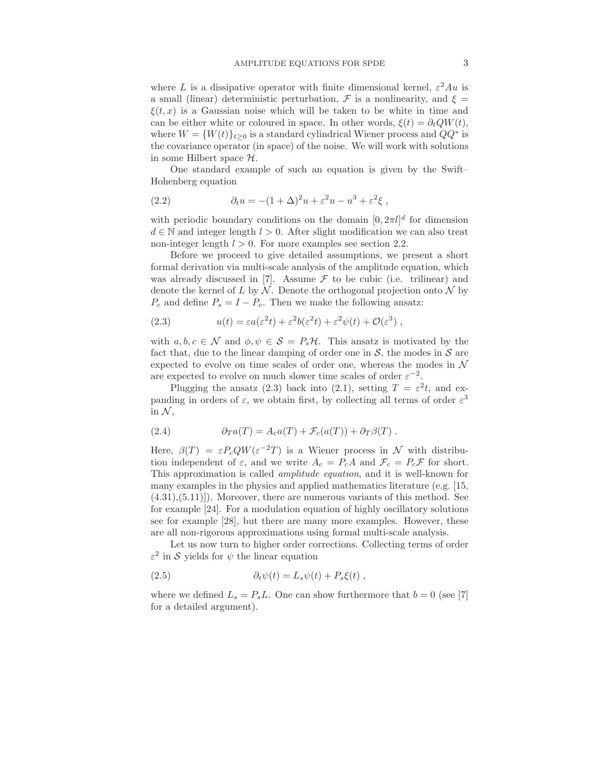where L is a dissipative operator with finite dimensional kernel,  $\varepsilon^2 Au$  is a small (linear) deterministic perturbation,  $\mathcal F$  is a nonlinearity, and  $\xi =$  $\xi(t, x)$  is a Gaussian noise which will be taken to be white in time and can be either white or coloured in space. In other words,  $\xi(t) = \partial_t QW(t)$ , where  $W = \{W(t)\}_{t\geq 0}$  is a standard cylindrical Wiener process and  $QQ^*$  is the covariance operator (in space) of the noise. We will work with solutions in some Hilbert space  $H$ .

One standard example of such an equation is given by the Swift– Hohenberg equation

(2.2) 
$$
\partial_t u = -(1 + \Delta)^2 u + \varepsilon^2 u - u^3 + \varepsilon^2 \xi ,
$$

with periodic boundary conditions on the domain  $[0, 2\pi l]^d$  for dimension  $d \in \mathbb{N}$  and integer length  $l > 0$ . After slight modification we can also treat non-integer length  $l > 0$ . For more examples see section 2.2.

Before we proceed to give detailed assumptions, we present a short formal derivation via multi-scale analysis of the amplitude equation, which was already discussed in [7]. Assume  $\mathcal F$  to be cubic (i.e. trilinear) and denote the kernel of L by N. Denote the orthogonal projection onto N by  $P_c$  and define  $P_s = I - P_c$ . Then we make the following ansatz:

(2.3) 
$$
u(t) = \varepsilon a(\varepsilon^2 t) + \varepsilon^2 b(\varepsilon^2 t) + \varepsilon^2 \psi(t) + \mathcal{O}(\varepsilon^3) ,
$$

with  $a, b, c \in \mathcal{N}$  and  $\phi, \psi \in \mathcal{S} = P_s \mathcal{H}$ . This ansatz is motivated by the fact that, due to the linear damping of order one in  $S$ , the modes in  $S$  are expected to evolve on time scales of order one, whereas the modes in  $\mathcal N$ are expected to evolve on much slower time scales of order  $\varepsilon^{-2}$ .

Plugging the ansatz (2.3) back into (2.1), setting  $T = \varepsilon^2 t$ , and expanding in orders of  $\varepsilon$ , we obtain first, by collecting all terms of order  $\varepsilon^3$ in  $N$ ,

(2.4) 
$$
\partial_T a(T) = A_c a(T) + \mathcal{F}_c(a(T)) + \partial_T \beta(T).
$$

Here,  $\beta(T) = \varepsilon P_c Q W(\varepsilon^{-2}T)$  is a Wiener process in N with distribution independent of  $\varepsilon$ , and we write  $A_c = P_c A$  and  $\mathcal{F}_c = P_c \mathcal{F}$  for short. This approximation is called *amplitude equation*, and it is well-known for many examples in the physics and applied mathematics literature (e.g. [15,  $(4.31), (5.11)$ . Moreover, there are numerous variants of this method. See for example [24]. For a modulation equation of highly oscillatory solutions see for example [28], but there are many more examples. However, these are all non-rigorous approximations using formal multi-scale analysis.

Let us now turn to higher order corrections. Collecting terms of order  $\varepsilon^2$  in S yields for  $\psi$  the linear equation

(2.5) 
$$
\partial_t \psi(t) = L_s \psi(t) + P_s \xi(t) ,
$$

where we defined  $L_s = P_s L$ . One can show furthermore that  $b = 0$  (see [7] for a detailed argument).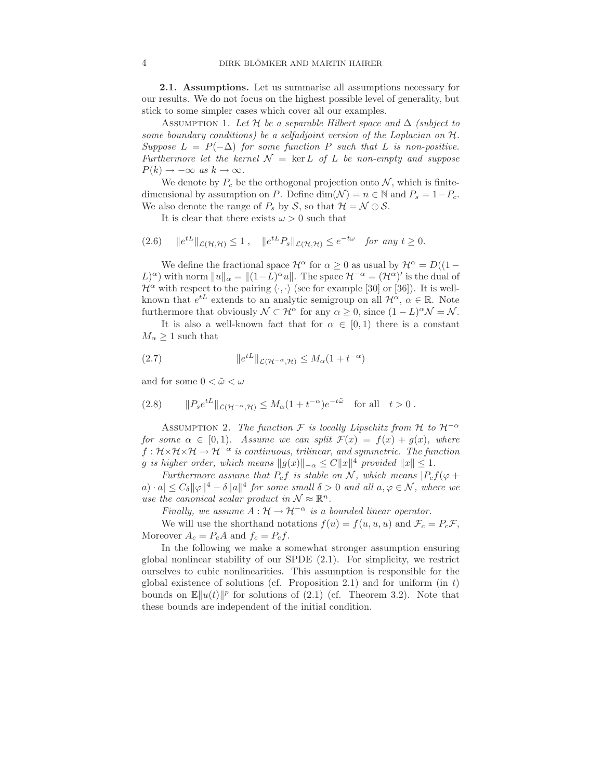**2.1. Assumptions.** Let us summarise all assumptions necessary for our results. We do not focus on the highest possible level of generality, but stick to some simpler cases which cover all our examples.

ASSUMPTION 1. Let  $H$  *be a separable Hilbert space and*  $\Delta$  *(subject to some boundary conditions) be a selfadjoint version of the Laplacian on* H*. Suppose*  $L = P(-\Delta)$  *for some function* P *such that* L *is non-positive.* Furthermore let the kernel  $\mathcal{N} = \ker L$  of L be non-empty and suppose  $P(k) \rightarrow -\infty \text{ as } k \rightarrow \infty.$ 

We denote by  $P_c$  be the orthogonal projection onto  $\mathcal{N}$ , which is finitedimensional by assumption on P. Define dim( $\mathcal{N}$ ) =  $n \in \mathbb{N}$  and  $P_s = 1 - P_c$ . We also denote the range of  $P_s$  by S, so that  $\mathcal{H} = \mathcal{N} \oplus \mathcal{S}$ .

It is clear that there exists  $\omega > 0$  such that

$$
(2.6) \t\t\t ||e^{tL}||_{\mathcal{L}(\mathcal{H},\mathcal{H})} \leq 1 , \t\t||e^{tL}P_s||_{\mathcal{L}(\mathcal{H},\mathcal{H})} \leq e^{-t\omega} \t\t \text{for any } t \geq 0.
$$

We define the fractional space  $\mathcal{H}^{\alpha}$  for  $\alpha \geq 0$  as usual by  $\mathcal{H}^{\alpha} = D((1 -$ L)<sup>α</sup>) with norm  $||u||_{\alpha} = ||(1-L)^{\alpha}u||$ . The space  $\mathcal{H}^{-\alpha} = (\mathcal{H}^{\alpha})'$  is the dual of  $\mathcal{H}^{\alpha}$  with respect to the pairing  $\langle \cdot, \cdot \rangle$  (see for example [30] or [36]). It is wellknown that  $e^{tL}$  extends to an analytic semigroup on all  $\mathcal{H}^{\alpha}$ ,  $\alpha \in \mathbb{R}$ . Note furthermore that obviously  $\mathcal{N} \subset \mathcal{H}^{\alpha}$  for any  $\alpha \geq 0$ , since  $(1 - L)^{\alpha} \mathcal{N} = \mathcal{N}$ .

It is also a well-known fact that for  $\alpha \in [0,1)$  there is a constant  $M_{\alpha} \geq 1$  such that

(2.7) 
$$
||e^{tL}||_{\mathcal{L}(\mathcal{H}^{-\alpha},\mathcal{H})} \leq M_{\alpha}(1+t^{-\alpha})
$$

and for some  $0 < \tilde{\omega} < \omega$ 

(2.8) 
$$
\|P_s e^{tL}\|_{\mathcal{L}(\mathcal{H}^{-\alpha},\mathcal{H})} \leq M_\alpha (1+t^{-\alpha})e^{-t\tilde{\omega}} \quad \text{for all} \quad t>0.
$$

ASSUMPTION 2. *The function*  $\mathcal F$  *is locally Lipschitz from*  $\mathcal H$  *to*  $\mathcal H^{-\alpha}$ *for some*  $\alpha \in [0, 1)$ *. Assume we can split*  $\mathcal{F}(x) = f(x) + q(x)$ *, where*  $f: \mathcal{H} \times \mathcal{H} \times \mathcal{H} \rightarrow \mathcal{H}^{-\alpha}$  *is continuous, trilinear, and symmetric. The function* g *is higher order, which means*  $||g(x)||_{-\alpha} \leq C||x||^4$  provided  $||x|| \leq 1$ .

*Furthermore assume that*  $P_c f$  *is stable on*  $\mathcal{N}$ *, which means*  $|P_c f(\varphi +$  $|a| \cdot a| \leq C_{\delta} ||\varphi||^4 - \delta ||a||^4$  *for some small*  $\delta > 0$  *and all*  $a, \varphi \in \mathcal{N}$ *, where we use the canonical scalar product in*  $\mathcal{N} \approx \mathbb{R}^n$ .

*Finally, we assume*  $A: \mathcal{H} \to \mathcal{H}^{-\alpha}$  *is a bounded linear operator.* 

We will use the shorthand notations  $f(u) = f(u, u, u)$  and  $\mathcal{F}_c = P_c \mathcal{F}$ , Moreover  $A_c = P_c A$  and  $f_c = P_c f$ .

In the following we make a somewhat stronger assumption ensuring global nonlinear stability of our SPDE (2.1). For simplicity, we restrict ourselves to cubic nonlinearities. This assumption is responsible for the global existence of solutions (cf. Proposition 2.1) and for uniform (in  $t$ ) bounds on  $\mathbb{E}[u(t)]^p$  for solutions of (2.1) (cf. Theorem 3.2). Note that these bounds are independent of the initial condition.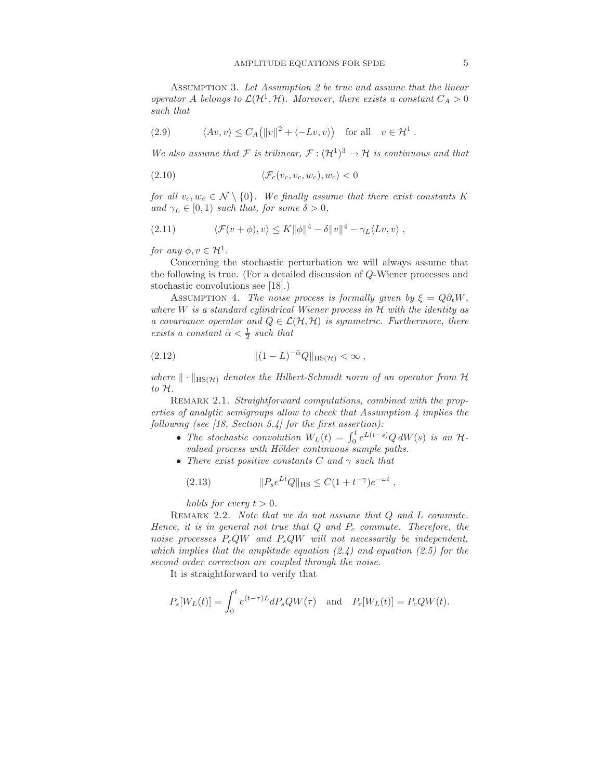Assumption 3. *Let Assumption 2 be true and assume that the linear operator* A *belongs to*  $\mathcal{L}(\mathcal{H}^1, \mathcal{H})$ *. Moreover, there exists a constant*  $C_A > 0$ *such that*

(2.9) 
$$
\langle Av, v \rangle \leq C_A \left( ||v||^2 + \langle -Lv, v \rangle \right) \text{ for all } v \in \mathcal{H}^1.
$$

*We also assume that*  $\mathcal F$  *is trilinear,*  $\mathcal F: (\mathcal H^1)^3 \to \mathcal H$  *is continuous and that* 

$$
(2.10) \qquad \qquad \langle \mathcal{F}_c(v_c, v_c, w_c), w_c \rangle < 0
$$

*for all*  $v_c, w_c \in \mathcal{N} \setminus \{0\}$ *. We finally assume that there exist constants* K *and*  $\gamma_L \in [0, 1)$  *such that, for some*  $\delta > 0$ *,* 

(2.11) 
$$
\langle \mathcal{F}(v+\phi), v \rangle \leq K ||\phi||^4 - \delta ||v||^4 - \gamma_L \langle Lv, v \rangle,
$$

*for any*  $\phi, v \in \mathcal{H}^1$ .

Concerning the stochastic perturbation we will always assume that the following is true. (For a detailed discussion of Q-Wiener processes and stochastic convolutions see [18].)

ASSUMPTION 4. *The noise process is formally given by*  $\xi = Q\partial_t W$ , *where* W *is a standard cylindrical Wiener process in* H *with the identity as a covariance operator and*  $Q \in \mathcal{L}(\mathcal{H}, \mathcal{H})$  *is symmetric. Furthermore, there exists a constant*  $\tilde{\alpha} < \frac{1}{2}$  *such that* 

(2.12) 
$$
\|(1 - L)^{-\tilde{\alpha}}Q\|_{\text{HS}(\mathcal{H})} < \infty,
$$

*where*  $\|\cdot\|_{\text{HS}(\mathcal{H})}$  *denotes the Hilbert-Schmidt norm of an operator from*  $\mathcal{H}$ *to* H*.*

REMARK 2.1. *Straightforward computations, combined with the properties of analytic semigroups allow to check that Assumption 4 implies the following (see [18, Section 5.4] for the first assertion):*

- The stochastic convolution  $W_L(t) = \int_0^t e^{L(t-s)} Q dW(s)$  is an  $\mathcal{H}$ *valued process with Hölder continuous sample paths.*
- *There exist positive constants* C *and* γ *such that*

(2.13) 
$$
||P_s e^{Lt} Q||_{\text{HS}} \leq C(1 + t^{-\gamma})e^{-\omega t},
$$

*holds for every*  $t > 0$ *.* 

Remark 2.2. *Note that we do not assume that* Q *and* L *commute. Hence, it is in general not true that*  $Q$  *and*  $P_c$  *commute. Therefore, the noise processes* PcQW *and* PsQW *will not necessarily be independent, which implies that the amplitude equation (2.4) and equation (2.5) for the second order correction are coupled through the noise.*

It is straightforward to verify that

$$
P_s[W_L(t)] = \int_0^t e^{(t-\tau)L} dP_s QW(\tau) \text{ and } P_c[W_L(t)] = P_c QW(t).
$$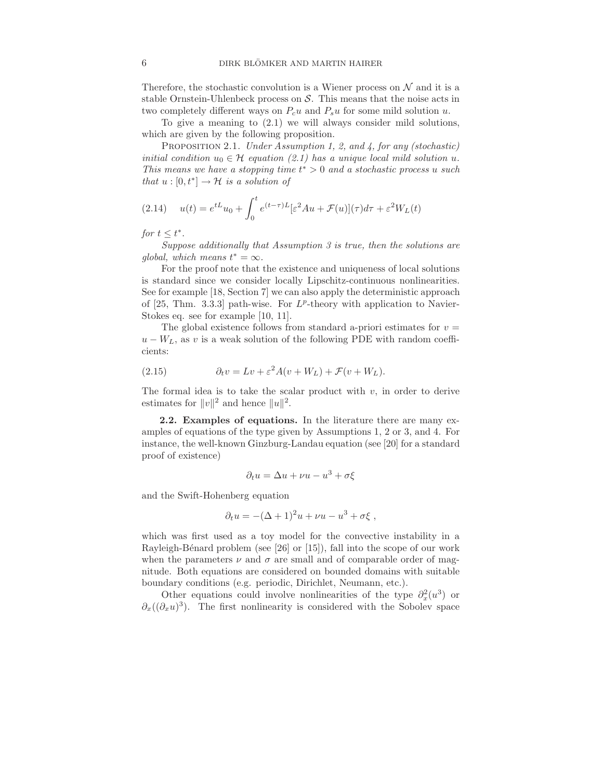Therefore, the stochastic convolution is a Wiener process on  $\mathcal N$  and it is a stable Ornstein-Uhlenbeck process on  $S$ . This means that the noise acts in two completely different ways on  $P_{c}u$  and  $P_{s}u$  for some mild solution u.

To give a meaning to (2.1) we will always consider mild solutions, which are given by the following proposition.

Proposition 2.1. *Under Assumption 1, 2, and 4, for any (stochastic) initial condition*  $u_0 \in \mathcal{H}$  *equation* (2.1) has a unique local mild solution u. *This means we have a stopping time*  $t^* > 0$  *and a stochastic process* u *such that*  $u : [0, t^*] \to \mathcal{H}$  *is a solution of* 

(2.14) 
$$
u(t) = e^{tL}u_0 + \int_0^t e^{(t-\tau)L} [\varepsilon^2 Au + \mathcal{F}(u)](\tau) d\tau + \varepsilon^2 W_L(t)
$$

*for*  $t \leq t^*$ .

*Suppose additionally that Assumption 3 is true, then the solutions are global, which means*  $t^* = \infty$ .

For the proof note that the existence and uniqueness of local solutions is standard since we consider locally Lipschitz-continuous nonlinearities. See for example [18, Section 7] we can also apply the deterministic approach of [25, Thm. 3.3.3] path-wise. For  $L^p$ -theory with application to Navier-Stokes eq. see for example [10, 11].

The global existence follows from standard a-priori estimates for  $v =$  $u - W_L$ , as v is a weak solution of the following PDE with random coefficients:

(2.15) 
$$
\partial_t v = Lv + \varepsilon^2 A(v + W_L) + \mathcal{F}(v + W_L).
$$

The formal idea is to take the scalar product with  $v$ , in order to derive estimates for  $||v||^2$  and hence  $||u||^2$ .

**2.2. Examples of equations.** In the literature there are many examples of equations of the type given by Assumptions 1, 2 or 3, and 4. For instance, the well-known Ginzburg-Landau equation (see [20] for a standard proof of existence)

$$
\partial_t u = \Delta u + \nu u - u^3 + \sigma \xi
$$

and the Swift-Hohenberg equation

$$
\partial_t u = -(\Delta + 1)^2 u + \nu u - u^3 + \sigma \xi ,
$$

which was first used as a toy model for the convective instability in a Rayleigh-Bénard problem (see [26] or  $[15]$ ), fall into the scope of our work when the parameters  $\nu$  and  $\sigma$  are small and of comparable order of magnitude. Both equations are considered on bounded domains with suitable boundary conditions (e.g. periodic, Dirichlet, Neumann, etc.).

Other equations could involve nonlinearities of the type  $\partial_x^2(u^3)$  or  $\partial_x((\partial_xu)^3)$ . The first nonlinearity is considered with the Sobolev space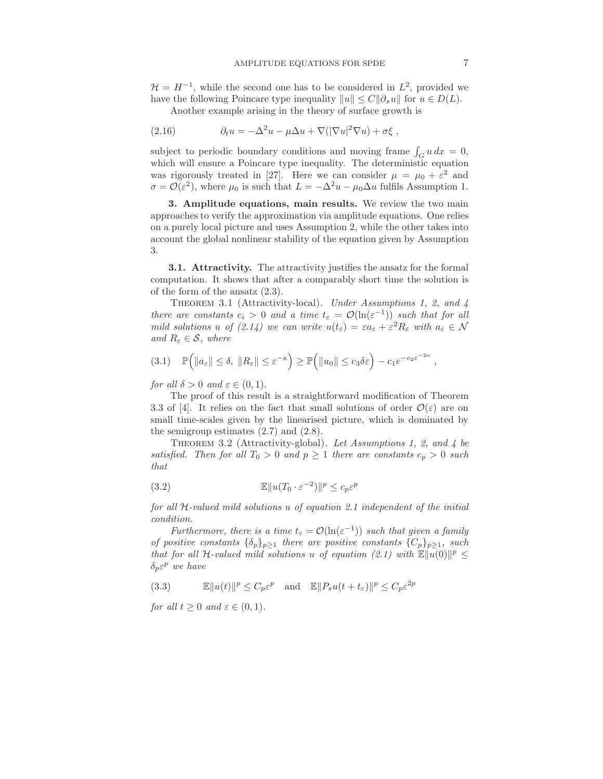$\mathcal{H} = H^{-1}$ , while the second one has to be considered in  $L^2$ , provided we have the following Poincare type inequality  $||u|| \leq C ||\partial_x u||$  for  $u \in D(L)$ .

Another example arising in the theory of surface growth is

(2.16) 
$$
\partial_t u = -\Delta^2 u - \mu \Delta u + \nabla (|\nabla u|^2 \nabla u) + \sigma \xi,
$$

subject to periodic boundary conditions and moving frame  $\int_G u\,dx = 0$ , which will ensure a Poincare type inequality. The deterministic equation was rigorously treated in [27]. Here we can consider  $\mu = \mu_0 + \varepsilon^2$  and  $\sigma = \mathcal{O}(\varepsilon^2)$ , where  $\mu_0$  is such that  $L = -\Delta^2 u - \mu_0 \Delta u$  fulfils Assumption 1.

**3. Amplitude equations, main results.** We review the two main approaches to verify the approximation via amplitude equations. One relies on a purely local picture and uses Assumption 2, while the other takes into account the global nonlinear stability of the equation given by Assumption 3.

**3.1. Attractivity.** The attractivity justifies the ansatz for the formal computation. It shows that after a comparably short time the solution is of the form of the ansatz (2.3).

Theorem 3.1 (Attractivity-local). *Under Assumptions 1, 2, and 4 there are constants*  $c_i > 0$  *and a time*  $t_{\varepsilon} = \mathcal{O}(\ln(\varepsilon^{-1}))$  *such that for all mild solutions* u *of* (2.14) we can write  $u(t_{\varepsilon}) = \varepsilon a_{\varepsilon} + \varepsilon^2 R_{\varepsilon}$  with  $a_{\varepsilon} \in \mathcal{N}$ *and*  $R_{\varepsilon} \in \mathcal{S}$ *, where* 

$$
(3.1) \quad \mathbb{P}\Big(\|a_{\varepsilon}\| \leq \delta, \|R_{\varepsilon}\| \leq \varepsilon^{-\kappa}\Big) \geq \mathbb{P}\Big(\|u_0\| \leq c_3\delta\varepsilon\Big) - c_1e^{-c_2\varepsilon^{-2\kappa}},
$$

*for all*  $\delta > 0$  *and*  $\varepsilon \in (0, 1)$ .

The proof of this result is a straightforward modification of Theorem 3.3 of [4]. It relies on the fact that small solutions of order  $\mathcal{O}(\varepsilon)$  are on small time-scales given by the linearised picture, which is dominated by the semigroup estimates  $(2.7)$  and  $(2.8)$ .

Theorem 3.2 (Attractivity-global). *Let Assumptions 1, 2, and 4 be satisfied.* Then for all  $T_0 > 0$  and  $p \ge 1$  there are constants  $c_p > 0$  *such that*

(3.2) 
$$
\mathbb{E} \|u(T_0 \cdot \varepsilon^{-2})\|^p \leq c_p \varepsilon^p
$$

*for all* H*-valued mild solutions* u *of equation 2.1 independent of the initial condition.*

*Furthermore, there is a time*  $t_{\varepsilon} = \mathcal{O}(\ln(\varepsilon^{-1}))$  *such that given a family of positive constants*  $\{\delta_p\}_{p\geq 1}$  *there are positive constants*  $\{C_p\}_{p\geq 1}$ *, such that for all* H-valued mild solutions u of equation (2.1) with  $\mathbb{E}||u(0)||^p \leq$  $\delta_p \varepsilon^p$  *we have* 

(3.3) 
$$
\mathbb{E} \|u(t)\|^p \leq C_p \varepsilon^p \quad \text{and} \quad \mathbb{E} \|P_s u(t+t_{\varepsilon})\|^p \leq C_p \varepsilon^{2p}
$$

*for all*  $t \geq 0$  *and*  $\varepsilon \in (0, 1)$ *.*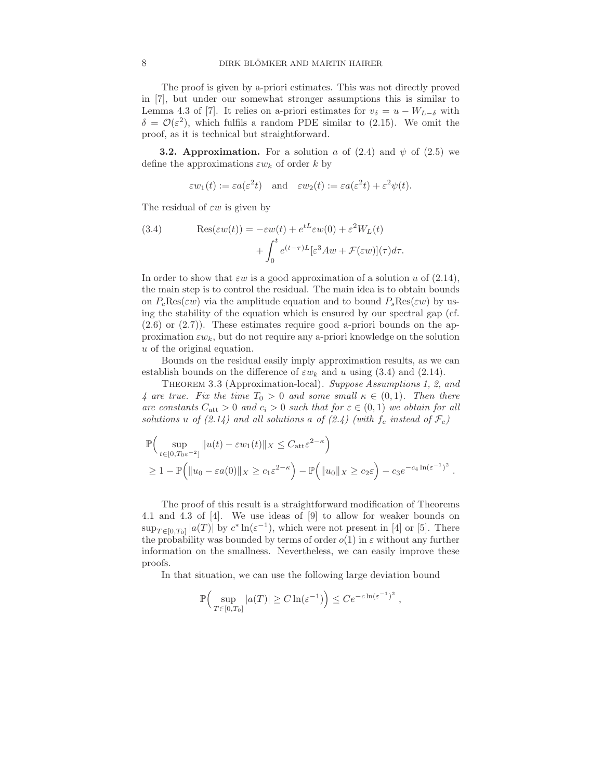The proof is given by a-priori estimates. This was not directly proved in [7], but under our somewhat stronger assumptions this is similar to Lemma 4.3 of [7]. It relies on a-priori estimates for  $v_{\delta} = u - W_{L-\delta}$  with  $\delta = \mathcal{O}(\varepsilon^2)$ , which fulfils a random PDE similar to (2.15). We omit the proof, as it is technical but straightforward.

**3.2. Approximation.** For a solution a of  $(2.4)$  and  $\psi$  of  $(2.5)$  we define the approximations  $\varepsilon w_k$  of order k by

$$
\varepsilon w_1(t) := \varepsilon a(\varepsilon^2 t)
$$
 and  $\varepsilon w_2(t) := \varepsilon a(\varepsilon^2 t) + \varepsilon^2 \psi(t)$ .

The residual of  $\varepsilon w$  is given by

(3.4) 
$$
\operatorname{Res}(\varepsilon w(t)) = -\varepsilon w(t) + e^{tL} \varepsilon w(0) + \varepsilon^2 W_L(t) + \int_0^t e^{(t-\tau)L} [\varepsilon^3 Aw + \mathcal{F}(\varepsilon w)](\tau) d\tau.
$$

In order to show that  $\varepsilon w$  is a good approximation of a solution u of (2.14), the main step is to control the residual. The main idea is to obtain bounds on  $P_c$ Res( $\varepsilon w$ ) via the amplitude equation and to bound  $P_s$ Res( $\varepsilon w$ ) by using the stability of the equation which is ensured by our spectral gap (cf.  $(2.6)$  or  $(2.7)$ ). These estimates require good a-priori bounds on the approximation  $\varepsilon w_k$ , but do not require any a-priori knowledge on the solution u of the original equation.

Bounds on the residual easily imply approximation results, as we can establish bounds on the difference of  $\varepsilon w_k$  and u using (3.4) and (2.14).

Theorem 3.3 (Approximation-local). *Suppose Assumptions 1, 2, and 4 are true. Fix the time*  $T_0 > 0$  *and some small*  $\kappa \in (0,1)$ *. Then there are constants*  $C_{\text{att}} > 0$  *and*  $c_i > 0$  *such that for*  $\varepsilon \in (0,1)$  *we obtain for all solutions* u of (2.14) and all solutions a of (2.4) (with  $f_c$  instead of  $\mathcal{F}_c$ )

$$
\mathbb{P}\Big(\sup_{t\in[0,T_0\varepsilon^{-2}]} \|u(t)-\varepsilon w_1(t)\|_X \leq C_{\text{att}}\varepsilon^{2-\kappa}\Big)
$$
  
\n
$$
\geq 1-\mathbb{P}\Big(\|u_0-\varepsilon a(0)\|_X \geq c_1\varepsilon^{2-\kappa}\Big) - \mathbb{P}\Big(\|u_0\|_X \geq c_2\varepsilon\Big) - c_3e^{-c_4\ln(\varepsilon^{-1})^2}.
$$

The proof of this result is a straightforward modification of Theorems 4.1 and 4.3 of [4]. We use ideas of [9] to allow for weaker bounds on  $\sup_{T\in[0,T_0]}|a(T)|$  by  $c^* \ln(\varepsilon^{-1})$ , which were not present in [4] or [5]. There the probability was bounded by terms of order  $o(1)$  in  $\varepsilon$  without any further information on the smallness. Nevertheless, we can easily improve these proofs.

In that situation, we can use the following large deviation bound

$$
\mathbb{P}\Big(\sup_{T\in[0,T_0]}|a(T)|\geq C\ln(\varepsilon^{-1})\Big)\leq Ce^{-c\ln(\varepsilon^{-1})^2}\;,
$$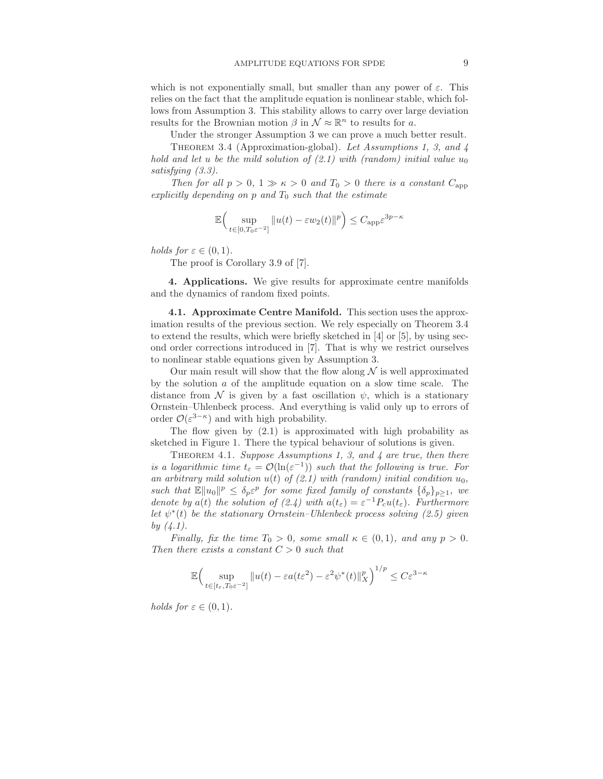which is not exponentially small, but smaller than any power of  $\varepsilon$ . This relies on the fact that the amplitude equation is nonlinear stable, which follows from Assumption 3. This stability allows to carry over large deviation results for the Brownian motion  $\beta$  in  $\mathcal{N} \approx \mathbb{R}^n$  to results for a.

Under the stronger Assumption 3 we can prove a much better result.

Theorem 3.4 (Approximation-global). *Let Assumptions 1, 3, and 4 hold and let* u *be the mild solution of*  $(2.1)$  *with (random) initial value*  $u_0$ *satisfying (3.3).*

*Then for all*  $p > 0$ ,  $1 \gg \kappa > 0$  *and*  $T_0 > 0$  *there is a constant*  $C_{\text{app}}$  $explicitly depending on p and T<sub>0</sub> such that the estimate$ 

$$
\mathbb{E}\Big(\sup_{t\in[0,T_0\varepsilon^{-2}]} \|u(t)-\varepsilon w_2(t)\|^p\Big)\leq C_{\rm app}\varepsilon^{3p-\kappa}
$$

*holds for*  $\varepsilon \in (0,1)$ *.* 

The proof is Corollary 3.9 of [7].

**4. Applications.** We give results for approximate centre manifolds and the dynamics of random fixed points.

**4.1. Approximate Centre Manifold.** This section uses the approximation results of the previous section. We rely especially on Theorem 3.4 to extend the results, which were briefly sketched in [4] or [5], by using second order corrections introduced in [7]. That is why we restrict ourselves to nonlinear stable equations given by Assumption 3.

Our main result will show that the flow along  $\mathcal N$  is well approximated by the solution  $a$  of the amplitude equation on a slow time scale. The distance from  $\mathcal N$  is given by a fast oscillation  $\psi$ , which is a stationary Ornstein–Uhlenbeck process. And everything is valid only up to errors of order  $\mathcal{O}(\varepsilon^{3-\kappa})$  and with high probability.

The flow given by  $(2.1)$  is approximated with high probability as sketched in Figure 1. There the typical behaviour of solutions is given.

THEOREM 4.1. *Suppose Assumptions 1, 3, and 4 are true, then there is a logarithmic time*  $t_{\varepsilon} = \mathcal{O}(\ln(\varepsilon^{-1}))$  *such that the following is true. For* an arbitrary mild solution  $u(t)$  of (2.1) with (random) initial condition  $u_0$ , *such that*  $\mathbb{E} \|u_0\|^p \leq \delta_p \varepsilon^p$  *for some fixed family of constants*  $\{\delta_p\}_{p>1}$ *, we denote by*  $a(t)$  *the solution of*  $(2.4)$  *with*  $a(t_{\varepsilon}) = \varepsilon^{-1} P_c u(t_{\varepsilon})$ *. Furthermore let* ψ∗(t) *be the stationary Ornstein–Uhlenbeck process solving (2.5) given by (4.1).*

*Finally, fix the time*  $T_0 > 0$ *, some small*  $\kappa \in (0,1)$ *, and any*  $p > 0$ *. Then there exists a constant* C > 0 *such that*

$$
\mathbb{E}\Big(\sup_{t\in[t_\varepsilon,T_0\varepsilon^{-2}]} \|u(t)-\varepsilon a(t\varepsilon^2)-\varepsilon^2\psi^*(t)\|_X^p\Big)^{1/p}\leq C\varepsilon^{3-\kappa}
$$

*holds for*  $\varepsilon \in (0,1)$ *.*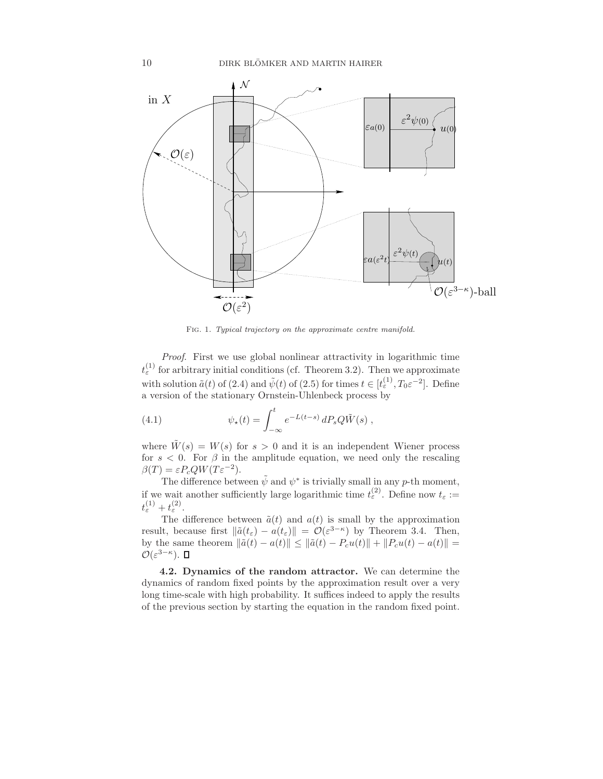

Fig. 1. Typical trajectory on the approximate centre manifold.

*Proof*. First we use global nonlinear attractivity in logarithmic time  $t_{\varepsilon}^{(1)}$  for arbitrary initial conditions (cf. Theorem 3.2). Then we approximate with solution  $\tilde{a}(t)$  of (2.4) and  $\tilde{\psi}(t)$  of (2.5) for times  $t \in [t_{\varepsilon}^{(1)}, T_0 \varepsilon^{-2}]$ . Define a version of the stationary Ornstein-Uhlenbeck process by

(4.1) 
$$
\psi_{\star}(t) = \int_{-\infty}^{t} e^{-L(t-s)} dP_s Q \tilde{W}(s) ,
$$

where  $\tilde{W}(s) = W(s)$  for  $s > 0$  and it is an independent Wiener process for  $s < 0$ . For  $\beta$  in the amplitude equation, we need only the rescaling  $\beta(T) = \varepsilon P_c Q W (T \varepsilon^{-2}).$ 

The difference between  $\tilde{\psi}$  and  $\psi^*$  is trivially small in any p-th moment, if we wait another sufficiently large logarithmic time  $t_{\varepsilon}^{(2)}$ . Define now  $t_{\varepsilon}$  :=  $t_{\varepsilon}^{(1)}+t_{\varepsilon}^{(2)}.$ 

The difference between  $\tilde{a}(t)$  and  $a(t)$  is small by the approximation result, because first  $\|\tilde{a}(t_{\varepsilon}) - a(t_{\varepsilon})\| = \mathcal{O}(\varepsilon^{3-\kappa})$  by Theorem 3.4. Then, by the same theorem  $\|\tilde{a}(t) - a(t)\| \le \|\tilde{a}(t) - P_cu(t)\| + \|P_cu(t) - a(t)\|$  $\mathcal{O}(\varepsilon^{3-\kappa})$ .  $\Box$ 

**4.2. Dynamics of the random attractor.** We can determine the dynamics of random fixed points by the approximation result over a very long time-scale with high probability. It suffices indeed to apply the results of the previous section by starting the equation in the random fixed point.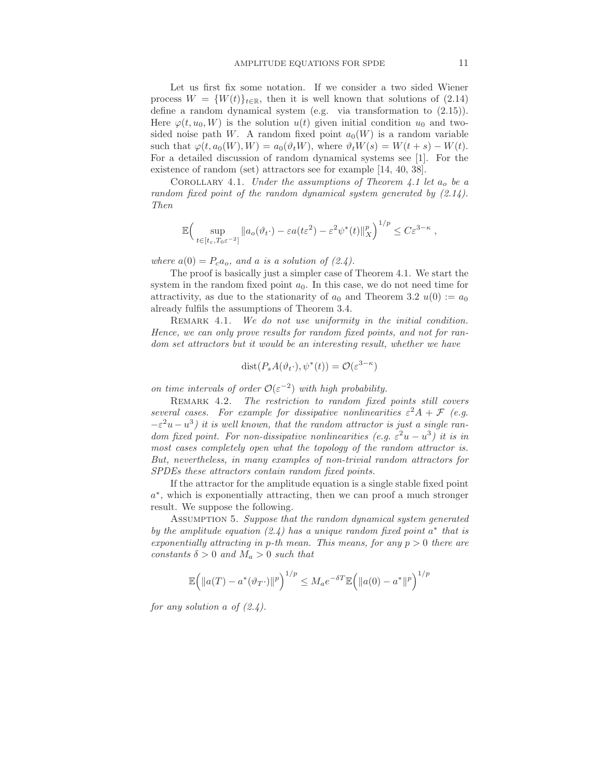Let us first fix some notation. If we consider a two sided Wiener process  $W = \{W(t)\}_{t \in \mathbb{R}}$ , then it is well known that solutions of (2.14) define a random dynamical system (e.g. via transformation to (2.15)). Here  $\varphi(t, u_0, W)$  is the solution  $u(t)$  given initial condition  $u_0$  and twosided noise path W. A random fixed point  $a_0(W)$  is a random variable such that  $\varphi(t, a_0(W), W) = a_0(\vartheta_t W)$ , where  $\vartheta_t W(s) = W(t + s) - W(t)$ . For a detailed discussion of random dynamical systems see [1]. For the existence of random (set) attractors see for example [14, 40, 38].

Corollary 4.1. *Under the assumptions of Theorem 4.1 let* a<sup>o</sup> *be a random fixed point of the random dynamical system generated by (2.14). Then*

$$
\mathbb{E}\Big(\sup_{t\in[t_{\varepsilon},T_0\varepsilon^{-2}]} \|a_o(\vartheta_{t}\cdot)-\varepsilon a(t\varepsilon^2)-\varepsilon^2\psi^*(t)\|_X^p\Big)^{1/p}\leq C\varepsilon^{3-\kappa},
$$

*where*  $a(0) = P_c a_o$ , and a *is a solution of (2.4)*.

The proof is basically just a simpler case of Theorem 4.1. We start the system in the random fixed point  $a_0$ . In this case, we do not need time for attractivity, as due to the stationarity of  $a_0$  and Theorem 3.2  $u(0) := a_0$ already fulfils the assumptions of Theorem 3.4.

REMARK 4.1. We do not use uniformity in the initial condition. *Hence, we can only prove results for random fixed points, and not for random set attractors but it would be an interesting result, whether we have*

$$
\text{dist}(P_s A(\vartheta_t \cdot), \psi^*(t)) = \mathcal{O}(\varepsilon^{3-\kappa})
$$

*on time intervals of order*  $\mathcal{O}(\varepsilon^{-2})$  *with high probability.* 

Remark 4.2. *The restriction to random fixed points still covers several cases. For example for dissipative nonlinearities*  $\varepsilon^2 A + \mathcal{F}$  (e.g.  $-\varepsilon^2u - u^3$ ) it is well known, that the random attractor is just a single ran*dom fixed point. For non-dissipative nonlinearities (e.g.*  $\varepsilon^2 u - u^3$ ) it is in *most cases completely open what the topology of the random attractor is. But, nevertheless, in many examples of non-trivial random attractors for SPDEs these attractors contain random fixed points.*

If the attractor for the amplitude equation is a single stable fixed point  $a<sup>*</sup>$ , which is exponentially attracting, then we can proof a much stronger result. We suppose the following.

Assumption 5. *Suppose that the random dynamical system generated by the amplitude equation (2.4) has a unique random fixed point*  $a^*$  *that is exponentially attracting in p-th mean. This means, for any*  $p > 0$  *there are constants*  $\delta > 0$  *and*  $M_a > 0$  *such that* 

$$
\mathbb{E}\Big(\|a(T) - a^*(\vartheta_T \cdot)\|^p\Big)^{1/p} \leq M_a e^{-\delta T} \mathbb{E}\Big(\|a(0) - a^*\|^p\Big)^{1/p}
$$

*for any solution* a *of (2.4).*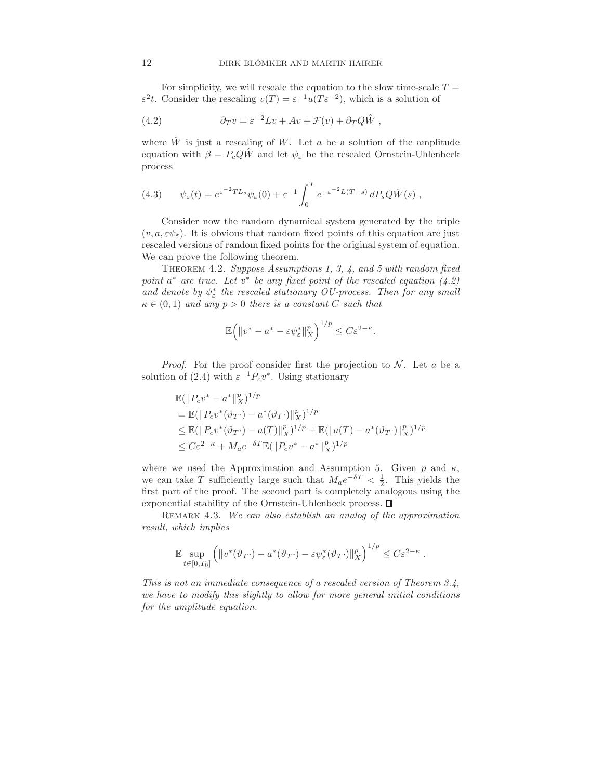For simplicity, we will rescale the equation to the slow time-scale  $T =$  $\varepsilon^2 t$ . Consider the rescaling  $v(T) = \varepsilon^{-1} u(T \varepsilon^{-2})$ , which is a solution of

(4.2) 
$$
\partial_T v = \varepsilon^{-2} L v + A v + \mathcal{F}(v) + \partial_T Q \hat{W},
$$

where  $\hat{W}$  is just a rescaling of W. Let a be a solution of the amplitude equation with  $\beta = P_c Q \hat{W}$  and let  $\psi_{\varepsilon}$  be the rescaled Ornstein-Uhlenbeck process

(4.3) 
$$
\psi_{\varepsilon}(t) = e^{\varepsilon^{-2}TL_s}\psi_{\varepsilon}(0) + \varepsilon^{-1}\int_0^T e^{-\varepsilon^{-2}L(T-s)}\,dP_sQ\hat{W}(s) ,
$$

Consider now the random dynamical system generated by the triple  $(v, a, \varepsilon \psi_{\varepsilon})$ . It is obvious that random fixed points of this equation are just rescaled versions of random fixed points for the original system of equation. We can prove the following theorem.

Theorem 4.2. *Suppose Assumptions 1, 3, 4, and 5 with random fixed point* a<sup>∗</sup> *are true. Let* v<sup>∗</sup> *be any fixed point of the rescaled equation (4.2)* and denote by  $\psi_{\varepsilon}^*$  the rescaled stationary OU-process. Then for any small  $\kappa \in (0,1)$  *and any*  $p > 0$  *there is a constant* C *such that* 

$$
\mathbb{E}\Big(\|v^* - a^* - \varepsilon\psi_{\varepsilon}^*\|_X^p\Big)^{1/p} \le C\varepsilon^{2-\kappa}.
$$

*Proof.* For the proof consider first the projection to  $N$ . Let a be a solution of (2.4) with  $\varepsilon^{-1}P_cv^*$ . Using stationary

$$
\mathbb{E}(\|P_c v^* - a^*\|_X^p)^{1/p} \n= \mathbb{E}(\|P_c v^* (\vartheta_T \cdot) - a^* (\vartheta_T \cdot) \|_X^p)^{1/p} \n\le \mathbb{E}(\|P_c v^* (\vartheta_T \cdot) - a(T)\|_X^p)^{1/p} + \mathbb{E}(\|a(T) - a^* (\vartheta_T \cdot) \|_X^p)^{1/p} \n\le C\varepsilon^{2-\kappa} + M_a e^{-\delta T} \mathbb{E}(\|P_c v^* - a^*\|_X^p)^{1/p}
$$

where we used the Approximation and Assumption 5. Given  $p$  and  $\kappa$ , we can take T sufficiently large such that  $M_a e^{-\delta T} < \frac{1}{2}$ . This yields the first part of the proof. The second part is completely analogous using the exponential stability of the Ornstein-Uhlenbeck process.

Remark 4.3. *We can also establish an analog of the approximation result, which implies*

$$
\mathbb{E} \sup_{t \in [0,T_0]} \left( \|v^*(\vartheta_T \cdot) - a^*(\vartheta_T \cdot) - \varepsilon \psi_{\varepsilon}^*(\vartheta_T \cdot) \|_X^p \right)^{1/p} \leq C \varepsilon^{2-\kappa}.
$$

*This is not an immediate consequence of a rescaled version of Theorem 3.4, we have to modify this slightly to allow for more general initial conditions for the amplitude equation.*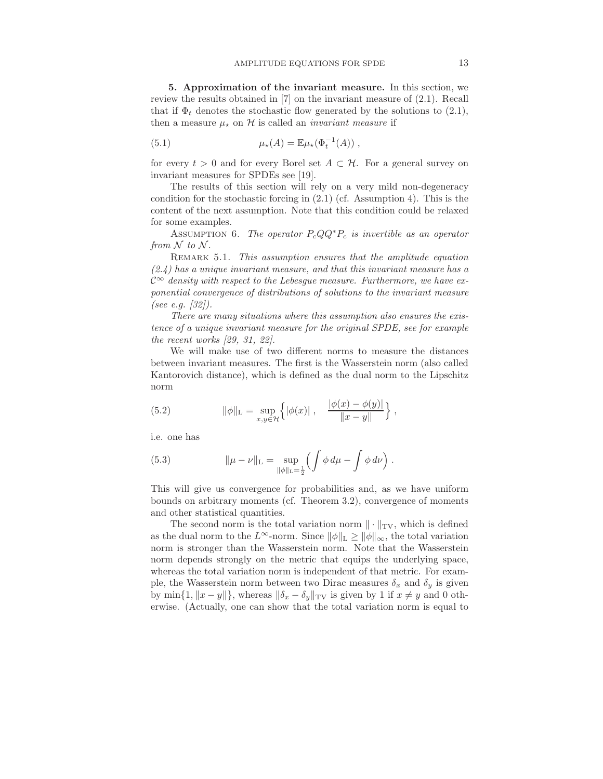**5. Approximation of the invariant measure.** In this section, we review the results obtained in [7] on the invariant measure of (2.1). Recall that if  $\Phi_t$  denotes the stochastic flow generated by the solutions to (2.1), then a measure  $\mu_{\star}$  on H is called an *invariant measure* if

(5.1) 
$$
\mu_{\star}(A) = \mathbb{E}\mu_{\star}(\Phi_t^{-1}(A)),
$$

for every  $t > 0$  and for every Borel set  $A \subset \mathcal{H}$ . For a general survey on invariant measures for SPDEs see [19].

The results of this section will rely on a very mild non-degeneracy condition for the stochastic forcing in (2.1) (cf. Assumption 4). This is the content of the next assumption. Note that this condition could be relaxed for some examples.

Assumption 6. *The operator* PcQQ∗P<sup>c</sup> *is invertible as an operator from*  $\mathcal N$  *to*  $\mathcal N$ *.* 

Remark 5.1. *This assumption ensures that the amplitude equation (2.4) has a unique invariant measure, and that this invariant measure has a* C<sup>∞</sup> *density with respect to the Lebesgue measure. Furthermore, we have exponential convergence of distributions of solutions to the invariant measure (see e.g. [32]).*

*There are many situations where this assumption also ensures the existence of a unique invariant measure for the original SPDE, see for example the recent works [29, 31, 22].*

We will make use of two different norms to measure the distances between invariant measures. The first is the Wasserstein norm (also called Kantorovich distance), which is defined as the dual norm to the Lipschitz norm

(5.2) 
$$
\|\phi\|_{\mathcal{L}} = \sup_{x,y \in \mathcal{H}} \left\{ |\phi(x)| , \frac{|\phi(x) - \phi(y)|}{\|x - y\|} \right\},
$$

i.e. one has

(5.3) 
$$
\|\mu - \nu\|_{\mathcal{L}} = \sup_{\|\phi\|_{\mathcal{L}} = \frac{1}{2}} \left( \int \phi \, d\mu - \int \phi \, d\nu \right).
$$

This will give us convergence for probabilities and, as we have uniform bounds on arbitrary moments (cf. Theorem 3.2), convergence of moments and other statistical quantities.

The second norm is the total variation norm  $\|\cdot\|_{TV}$ , which is defined as the dual norm to the  $L^{\infty}$ -norm. Since  $||\phi||_{L} \ge ||\phi||_{\infty}$ , the total variation norm is stronger than the Wasserstein norm. Note that the Wasserstein norm depends strongly on the metric that equips the underlying space, whereas the total variation norm is independent of that metric. For example, the Wasserstein norm between two Dirac measures  $\delta_x$  and  $\delta_y$  is given by min{1,  $||x - y||$ }, whereas  $||\delta_x - \delta_y||_{TV}$  is given by 1 if  $x \neq y$  and 0 otherwise. (Actually, one can show that the total variation norm is equal to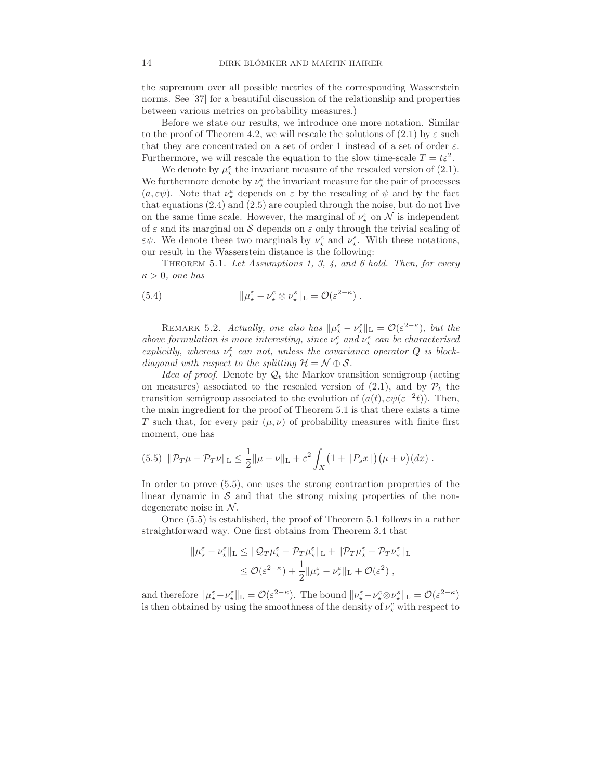the supremum over all possible metrics of the corresponding Wasserstein norms. See [37] for a beautiful discussion of the relationship and properties between various metrics on probability measures.)

Before we state our results, we introduce one more notation. Similar to the proof of Theorem 4.2, we will rescale the solutions of  $(2.1)$  by  $\varepsilon$  such that they are concentrated on a set of order 1 instead of a set of order  $\varepsilon$ . Furthermore, we will rescale the equation to the slow time-scale  $T = t\varepsilon^2$ .

We denote by  $\mu_{\star}^{\varepsilon}$  the invariant measure of the rescaled version of (2.1). We furthermore denote by  $\nu_{\star}^{\varepsilon}$  the invariant measure for the pair of processes  $(a, \varepsilon\psi)$ . Note that  $\nu_{\star}^{\varepsilon}$  depends on  $\varepsilon$  by the rescaling of  $\psi$  and by the fact that equations (2.4) and (2.5) are coupled through the noise, but do not live on the same time scale. However, the marginal of  $\nu_{\star}^{\varepsilon}$  on  $\mathcal{N}$  is independent of  $\varepsilon$  and its marginal on S depends on  $\varepsilon$  only through the trivial scaling of  $\varepsilon \psi$ . We denote these two marginals by  $\nu_{\star}^c$  and  $\nu_{\star}^s$ . With these notations, our result in the Wasserstein distance is the following:

Theorem 5.1. *Let Assumptions 1, 3, 4, and 6 hold. Then, for every*  $\kappa > 0$ , one has

(5.4) 
$$
\|\mu^{\varepsilon}_\star - \nu^c_\star \otimes \nu^s_\star\|_{\mathcal{L}} = \mathcal{O}(\varepsilon^{2-\kappa}).
$$

REMARK 5.2. *Actually, one also has*  $\|\mu^{\varepsilon}_\star - \nu^{\varepsilon}_\star\|_{\mathcal{L}} = \mathcal{O}(\varepsilon^{2-\kappa})$ *, but the* above formulation is more interesting, since  $\nu_x^c$  and  $\nu_x^s$  can be characterised  $explicitly, whereas  $\nu^{\varepsilon}$  can not, unless the covariance operator Q is block$ *diagonal with respect to the splitting*  $\mathcal{H} = \mathcal{N} \oplus \mathcal{S}$ .

*Idea of proof.* Denote by  $\mathcal{Q}_t$  the Markov transition semigroup (acting on measures) associated to the rescaled version of  $(2.1)$ , and by  $\mathcal{P}_t$  the transition semigroup associated to the evolution of  $(a(t), \varepsilon \psi(\varepsilon^{-2}t))$ . Then, the main ingredient for the proof of Theorem 5.1 is that there exists a time T such that, for every pair  $(\mu, \nu)$  of probability measures with finite first moment, one has

$$
(5.5) \|\mathcal{P}_T\mu - \mathcal{P}_T\nu\|_{\mathcal{L}} \leq \frac{1}{2} \|\mu - \nu\|_{\mathcal{L}} + \varepsilon^2 \int_X \left(1 + \|P_s x\|\right) \left(\mu + \nu\right) (dx).
$$

In order to prove (5.5), one uses the strong contraction properties of the linear dynamic in  $S$  and that the strong mixing properties of the nondegenerate noise in  $N$ .

Once (5.5) is established, the proof of Theorem 5.1 follows in a rather straightforward way. One first obtains from Theorem 3.4 that

$$
\|\mu_{\star}^{\varepsilon} - \nu_{\star}^{\varepsilon}\|_{L} \leq \|\mathcal{Q}_{T}\mu_{\star}^{\varepsilon} - \mathcal{P}_{T}\mu_{\star}^{\varepsilon}\|_{L} + \|\mathcal{P}_{T}\mu_{\star}^{\varepsilon} - \mathcal{P}_{T}\nu_{\star}^{\varepsilon}\|_{L}
$$
  

$$
\leq \mathcal{O}(\varepsilon^{2-\kappa}) + \frac{1}{2}\|\mu_{\star}^{\varepsilon} - \nu_{\star}^{\varepsilon}\|_{L} + \mathcal{O}(\varepsilon^{2}),
$$

and therefore  $||\mu^{\varepsilon}_{\star} - \nu^{\varepsilon}_{\star}||_{L} = \mathcal{O}(\varepsilon^{2-\kappa})$ . The bound  $||\nu^{\varepsilon}_{\star} - \nu^{\varepsilon}_{\star} \otimes \nu^s_{\star}||_{L} = \mathcal{O}(\varepsilon^{2-\kappa})$ is then obtained by using the smoothness of the density of  $\nu_x^c$  with respect to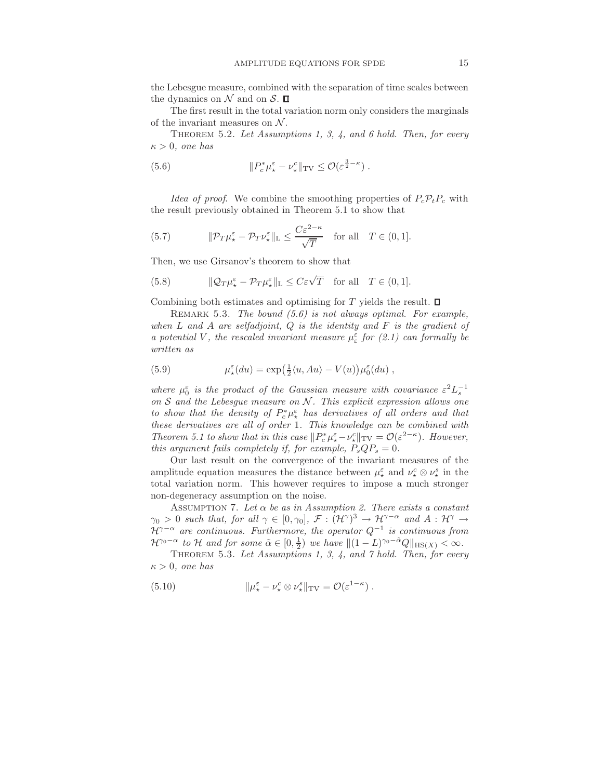the Lebesgue measure, combined with the separation of time scales between the dynamics on  $\mathcal N$  and on  $\mathcal S$ .  $\square$ 

The first result in the total variation norm only considers the marginals of the invariant measures on  $\mathcal{N}$ .

Theorem 5.2. *Let Assumptions 1, 3, 4, and 6 hold. Then, for every*  $\kappa > 0$ , one has

(5.6) 
$$
\|P_c^*\mu_*^\varepsilon - \nu_*^c\|_{\rm TV} \leq \mathcal{O}(\varepsilon^{\frac{3}{2}-\kappa}).
$$

*Idea of proof.* We combine the smoothing properties of  $P_cP_tP_c$  with the result previously obtained in Theorem 5.1 to show that

(5.7) 
$$
\|\mathcal{P}_T\mu_*^{\varepsilon} - \mathcal{P}_T\nu_*^{\varepsilon}\|_{\mathcal{L}} \le \frac{C\varepsilon^{2-\kappa}}{\sqrt{T}} \quad \text{for all} \quad T \in (0,1].
$$

Then, we use Girsanov's theorem to show that

(5.8) 
$$
\|\mathcal{Q}_T\mu_*^\varepsilon - \mathcal{P}_T\mu_*^\varepsilon\|_{\mathrm{L}} \leq C\varepsilon\sqrt{T} \quad \text{for all} \quad T \in (0,1].
$$

Combining both estimates and optimising for T yields the result.  $\Box$ 

Remark 5.3. *The bound (5.6) is not always optimal. For example, when* L *and* A *are selfadjoint,* Q *is the identity and* F *is the gradient of a potential* V, the rescaled invariant measure  $\mu_{\varepsilon}^{\varepsilon}$  for (2.1) can formally be *written as*

(5.9) 
$$
\mu_{\star}^{\varepsilon}(du) = \exp\left(\frac{1}{2}\langle u, Au \rangle - V(u)\right) \mu_{0}^{\varepsilon}(du) ,
$$

*where*  $\mu_0^{\varepsilon}$  *is the product of the Gaussian measure with covariance*  $\varepsilon^2 L_s^{-1}$ *on* S *and the Lebesgue measure on* N *. This explicit expression allows one to show that the density of*  $P_c^* \mu^{\varepsilon}$  *has derivatives of all orders and that these derivatives are all of order* 1*. This knowledge can be combined with Theorem 5.1 to show that in this case*  $||P_c^* \mu_*^{\varepsilon} - \nu_*^c||_{TV} = \mathcal{O}(\varepsilon^{2-\kappa})$ *. However, this argument fails completely if, for example,*  $P_sQP_s = 0$ *.* 

Our last result on the convergence of the invariant measures of the amplitude equation measures the distance between  $\mu_{\star}^{\varepsilon}$  and  $\nu_{\star}^{\varepsilon} \otimes \nu_{\star}^s$  in the total variation norm. This however requires to impose a much stronger non-degeneracy assumption on the noise.

Assumption 7. *Let* α *be as in Assumption 2. There exists a constant*  $\gamma_0 > 0$  such that, for all  $\gamma \in [0, \gamma_0], \mathcal{F} : (\mathcal{H}^{\gamma})^3 \to \mathcal{H}^{\gamma - \alpha}$  and  $A : \mathcal{H}^{\gamma} \to$ <sup>H</sup><sup>γ</sup>−<sup>α</sup> *are continuous. Furthermore, the operator* <sup>Q</sup>−<sup>1</sup> *is continuous from*  $\mathcal{H}^{\gamma_0-\alpha}$  *to*  $\mathcal H$  *and for some*  $\tilde{\alpha} \in [0, \frac{1}{2})$  *we have*  $||(1-L)^{\gamma_0-\tilde{\alpha}}Q||_{\text{HS}(X)} < \infty$ *.* 

Theorem 5.3. *Let Assumptions 1, 3, 4, and 7 hold. Then, for every*  $\kappa > 0$ *, one has* 

(5.10) 
$$
\|\mu^{\varepsilon}_\star - \nu^c_\star \otimes \nu^s_\star\|_{\mathrm{TV}} = \mathcal{O}(\varepsilon^{1-\kappa}).
$$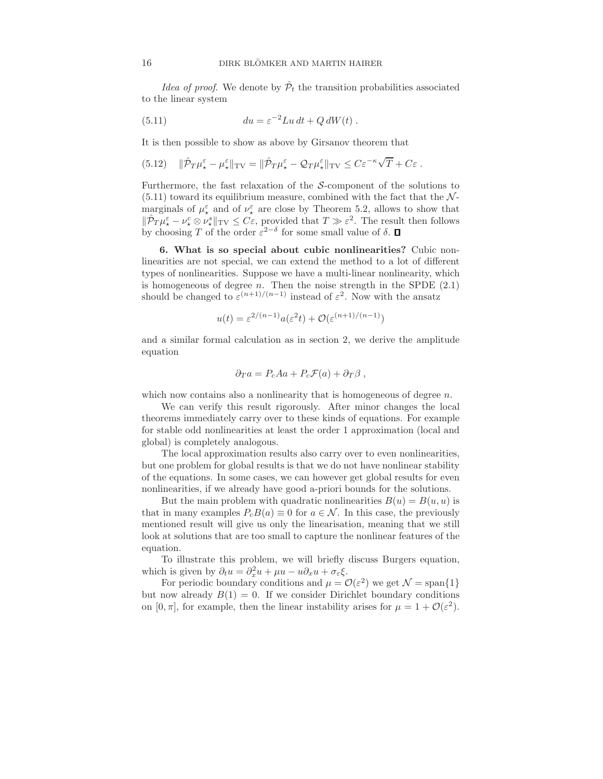*Idea of proof.* We denote by  $\hat{\mathcal{P}}_t$  the transition probabilities associated to the linear system

(5.11) 
$$
du = \varepsilon^{-2} Lu \, dt + Q \, dW(t) \, .
$$

It is then possible to show as above by Girsanov theorem that

(5.12) 
$$
\|\hat{\mathcal{P}}_T\mu_{\star}^{\varepsilon}-\mu_{\star}^{\varepsilon}\|_{\text{TV}}=\|\hat{\mathcal{P}}_T\mu_{\star}^{\varepsilon}-\mathcal{Q}_T\mu_{\star}^{\varepsilon}\|_{\text{TV}}\leq C\varepsilon^{-\kappa}\sqrt{T}+C\varepsilon.
$$

Furthermore, the fast relaxation of the  $\mathcal{S}$ -component of the solutions to  $(5.11)$  toward its equilibrium measure, combined with the fact that the Nmarginals of  $\mu_{\star}^{\varepsilon}$  and of  $\nu_{\star}^{\varepsilon}$  are close by Theorem 5.2, allows to show that  $\|\hat{\mathcal{P}}_T\mu^{\varepsilon}_\star - \nu^c_\star \otimes \nu^s_\star\|_{\text{TV}} \leq C \varepsilon$ , provided that  $T \gg \varepsilon^2$ . The result then follows by choosing T of the order  $\varepsilon^{2-\delta}$  for some small value of  $\delta$ .

**6. What is so special about cubic nonlinearities?** Cubic nonlinearities are not special, we can extend the method to a lot of different types of nonlinearities. Suppose we have a multi-linear nonlinearity, which is homogeneous of degree  $n$ . Then the noise strength in the SPDE  $(2.1)$ should be changed to  $\varepsilon^{(n+1)/(n-1)}$  instead of  $\varepsilon^2$ . Now with the ansatz

$$
u(t) = \varepsilon^{2/(n-1)} a(\varepsilon^2 t) + \mathcal{O}(\varepsilon^{(n+1)/(n-1)})
$$

and a similar formal calculation as in section 2, we derive the amplitude equation

$$
\partial_T a = P_c A a + P_c \mathcal{F}(a) + \partial_T \beta ,
$$

which now contains also a nonlinearity that is homogeneous of degree  $n$ .

We can verify this result rigorously. After minor changes the local theorems immediately carry over to these kinds of equations. For example for stable odd nonlinearities at least the order 1 approximation (local and global) is completely analogous.

The local approximation results also carry over to even nonlinearities, but one problem for global results is that we do not have nonlinear stability of the equations. In some cases, we can however get global results for even nonlinearities, if we already have good a-priori bounds for the solutions.

But the main problem with quadratic nonlinearities  $B(u) = B(u, u)$  is that in many examples  $P_cB(a) \equiv 0$  for  $a \in \mathcal{N}$ . In this case, the previously mentioned result will give us only the linearisation, meaning that we still look at solutions that are too small to capture the nonlinear features of the equation.

To illustrate this problem, we will briefly discuss Burgers equation, which is given by  $\partial_t u = \partial_x^2 u + \mu u - u \partial_x u + \sigma_{\varepsilon} \xi$ .

For periodic boundary conditions and  $\mu = \mathcal{O}(\varepsilon^2)$  we get  $\mathcal{N} = \text{span}\{1\}$ but now already  $B(1) = 0$ . If we consider Dirichlet boundary conditions on  $[0, \pi]$ , for example, then the linear instability arises for  $\mu = 1 + \mathcal{O}(\varepsilon^2)$ .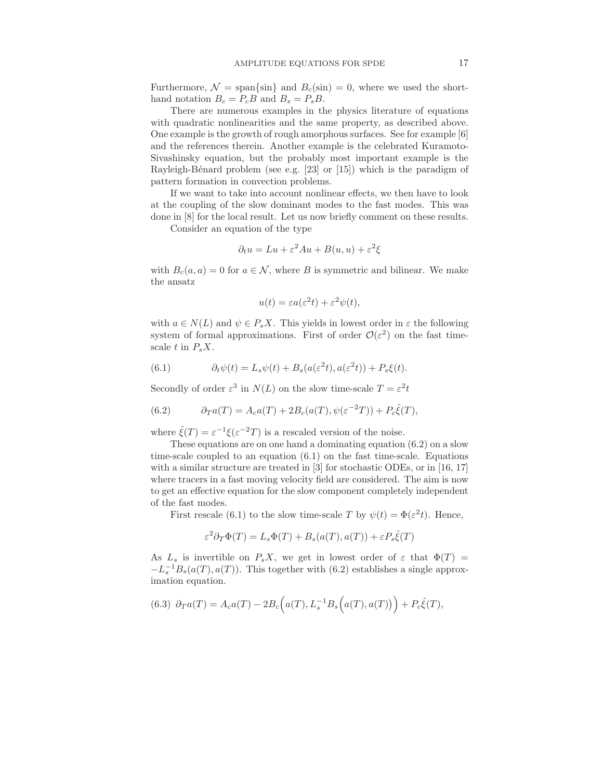Furthermore,  $\mathcal{N} = \text{span}\{\sin\}$  and  $B_c(\sin) = 0$ , where we used the shorthand notation  $B_c = P_c B$  and  $B_s = P_s B$ .

There are numerous examples in the physics literature of equations with quadratic nonlinearities and the same property, as described above. One example is the growth of rough amorphous surfaces. See for example [6] and the references therein. Another example is the celebrated Kuramoto-Sivashinsky equation, but the probably most important example is the Rayleigh-Bénard problem (see e.g.  $[23]$  or  $[15]$ ) which is the paradigm of pattern formation in convection problems.

If we want to take into account nonlinear effects, we then have to look at the coupling of the slow dominant modes to the fast modes. This was done in [8] for the local result. Let us now briefly comment on these results.

Consider an equation of the type

$$
\partial_t u = Lu + \varepsilon^2 Au + B(u, u) + \varepsilon^2 \xi
$$

with  $B_c(a, a) = 0$  for  $a \in \mathcal{N}$ , where B is symmetric and bilinear. We make the ansatz

$$
u(t) = \varepsilon a(\varepsilon^2 t) + \varepsilon^2 \psi(t),
$$

with  $a \in N(L)$  and  $\psi \in P_s X$ . This yields in lowest order in  $\varepsilon$  the following system of formal approximations. First of order  $\mathcal{O}(\varepsilon^2)$  on the fast timescale t in  $P_sX$ .

(6.1) 
$$
\partial_t \psi(t) = L_s \psi(t) + B_s(a(\varepsilon^2 t), a(\varepsilon^2 t)) + P_s \xi(t).
$$

Secondly of order  $\varepsilon^3$  in  $N(L)$  on the slow time-scale  $T = \varepsilon^2 t$ 

(6.2) 
$$
\partial_T a(T) = A_c a(T) + 2B_c(a(T), \psi(\varepsilon^{-2}T)) + P_c \hat{\xi}(T),
$$

where  $\hat{\xi}(T) = \varepsilon^{-1} \xi(\varepsilon^{-2}T)$  is a rescaled version of the noise.

These equations are on one hand a dominating equation (6.2) on a slow time-scale coupled to an equation  $(6.1)$  on the fast time-scale. Equations with a similar structure are treated in [3] for stochastic ODEs, or in [16, 17] where tracers in a fast moving velocity field are considered. The aim is now to get an effective equation for the slow component completely independent of the fast modes.

First rescale (6.1) to the slow time-scale T by  $\psi(t) = \Phi(\varepsilon^2 t)$ . Hence,

$$
\varepsilon^2 \partial_T \Phi(T) = L_s \Phi(T) + B_s(a(T), a(T)) + \varepsilon P_s \hat{\xi}(T)
$$

As  $L_s$  is invertible on  $P_s X$ , we get in lowest order of  $\varepsilon$  that  $\Phi(T) =$  $-L_{s}^{-1}B_{s}(a(T), a(T))$ . This together with (6.2) establishes a single approximation equation.

$$
(6.3) \ \partial_T a(T) = A_c a(T) - 2B_c \Big( a(T), L_s^{-1} B_s \Big( a(T), a(T) \Big) \Big) + P_c \hat{\xi}(T),
$$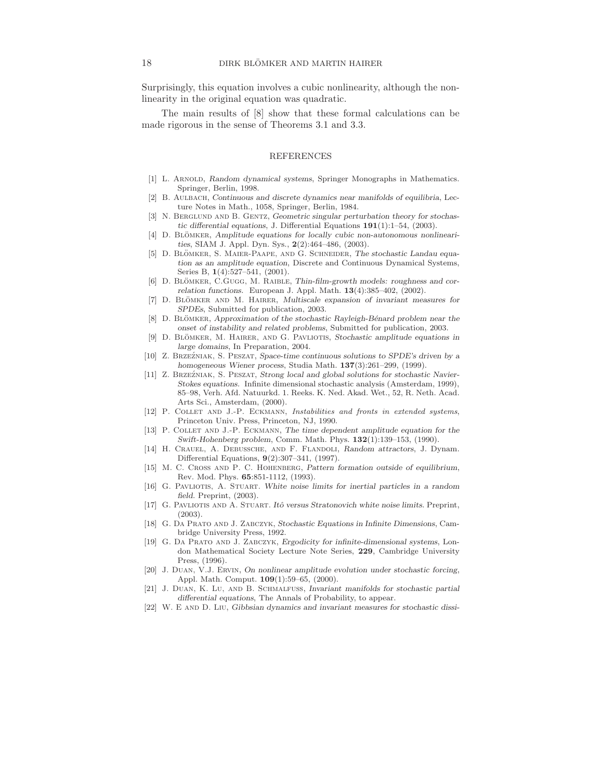Surprisingly, this equation involves a cubic nonlinearity, although the nonlinearity in the original equation was quadratic.

The main results of [8] show that these formal calculations can be made rigorous in the sense of Theorems 3.1 and 3.3.

## REFERENCES

- [1] L. ARNOLD, *Random dynamical systems*, Springer Monographs in Mathematics. Springer, Berlin, 1998.
- [2] B. Aulbach, *Continuous and discrete dynamics near manifolds of equilibria*, Lecture Notes in Math., 1058, Springer, Berlin, 1984.
- [3] N. Berglund and B. Gentz, *Geometric singular perturbation theory for stochastic differential equations*, J. Differential Equations **191**(1):1–54, (2003).
- [4] D. BLÖMKER, *Amplitude equations for locally cubic non-autonomous nonlinearities*, SIAM J. Appl. Dyn. Sys., **2**(2):464–486, (2003).
- [5] D. BLÖMKER, S. MAIER-PAAPE, AND G. SCHNEIDER, *The stochastic Landau equation as an amplitude equation*, Discrete and Continuous Dynamical Systems, Series B, **1**(4):527–541, (2001).
- [6] D. BLÖMKER, C.GUGG, M. RAIBLE, *Thin-film-growth models: roughness and correlation functions.* European J. Appl. Math. **13**(4):385–402, (2002).
- [7] D. BLÖMKER AND M. HAIRER, *Multiscale expansion of invariant measures for SPDEs*, Submitted for publication, 2003.
- [8] D. BLÖMKER, *Approximation of the stochastic Rayleigh-Bénard problem near the onset of instability and related problems*, Submitted for publication, 2003.
- [9] D. BLÖMKER, M. HAIRER, AND G. PAVLIOTIS, *Stochastic amplitude equations in large domains*, In Preparation, 2004.
- [10] Z. Brze´zniak, S. Peszat, *Space-time continuous solutions to SPDE's driven by a homogeneous Wiener process*, Studia Math. **137**(3):261–299, (1999).
- [11] Z. BRZEŹNIAK, S. PESZAT, *Strong local and global solutions for stochastic Navier-Stokes equations.* Infinite dimensional stochastic analysis (Amsterdam, 1999), 85–98, Verh. Afd. Natuurkd. 1. Reeks. K. Ned. Akad. Wet., 52, R. Neth. Acad. Arts Sci., Amsterdam, (2000).
- [12] P. Collet and J.-P. Eckmann, Instabilities and fronts in extended systems, Princeton Univ. Press, Princeton, NJ, 1990.
- [13] P. Collet and J.-P. Eckmann, *The time dependent amplitude equation for the Swift-Hohenberg problem*, Comm. Math. Phys. **132**(1):139–153, (1990).
- [14] H. CRAUEL, A. DEBUSSCHE, AND F. FLANDOLI, *Random attractors*, J. Dynam. Differential Equations, **9**(2):307–341, (1997).
- [15] M. C. Cross and P. C. Hohenberg, *Pattern formation outside of equilibrium*, Rev. Mod. Phys. **65**:851-1112, (1993).
- [16] G. Pavliotis, A. Stuart. *White noise limits for inertial particles in a random field.* Preprint, (2003).
- [17] G. PAVLIOTIS AND A. STUART. *Itô versus Stratonovich white noise limits*. Preprint, (2003).
- [18] G. Da Prato and J. Zabczyk, *Stochastic Equations in Infinite Dimensions*, Cambridge University Press, 1992.
- [19] G. Da Prato and J. Zabczyk, *Ergodicity for infinite-dimensional systems*, London Mathematical Society Lecture Note Series, **229**, Cambridge University Press, (1996).
- [20] J. Duan, V.J. Ervin, *On nonlinear amplitude evolution under stochastic forcing*, Appl. Math. Comput. **109**(1):59–65, (2000).
- [21] J. Duan, K. Lu, and B. Schmalfuß, *Invariant manifolds for stochastic partial differential equations*, The Annals of Probability, to appear.
- [22] W. E and D. Liu, *Gibbsian dynamics and invariant measures for stochastic dissi-*